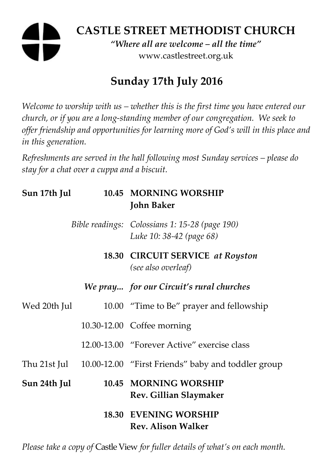# **CASTLE STREET METHODIST CHURCH**  *"Where all are welcome – all the time"*

www.castlestreet.org.uk

# **Sunday 17th July 2016**

*Welcome to worship with us – whether this is the first time you have entered our church, or if you are a long-standing member of our congregation. We seek to offer friendship and opportunities for learning more of God's will in this place and in this generation.* 

*Refreshments are served in the hall following most Sunday services – please do stay for a chat over a cuppa and a biscuit.* 

| Sun 17th Jul |  | 10.45 MORNING WORSHIP<br><b>John Baker</b>                                 |
|--------------|--|----------------------------------------------------------------------------|
|              |  | Bible readings: Colossians 1: 15-28 (page 190)<br>Luke 10: 38-42 (page 68) |
|              |  | 18.30 CIRCUIT SERVICE at Royston<br>(see also overleaf)                    |
|              |  | We pray for our Circuit's rural churches                                   |
| Wed 20th Jul |  | 10.00 "Time to Be" prayer and fellowship                                   |
|              |  | 10.30-12.00 Coffee morning                                                 |
|              |  | 12.00-13.00 "Forever Active" exercise class                                |
|              |  | Thu 21st Jul 10.00-12.00 "First Friends" baby and toddler group            |
| Sun 24th Jul |  | 10.45 MORNING WORSHIP<br>Rev. Gillian Slaymaker                            |
|              |  | <b>18.30 EVENING WORSHIP</b><br><b>Rev. Alison Walker</b>                  |

*Please take a copy of* Castle View *for fuller details of what's on each month.*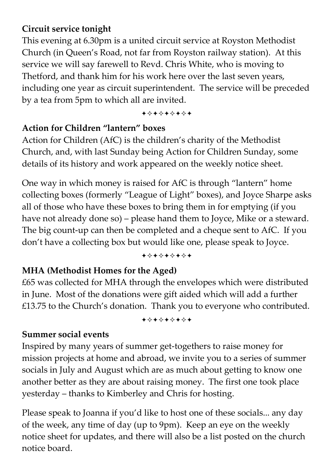### **Circuit service tonight**

This evening at 6.30pm is a united circuit service at Royston Methodist Church (in Queen's Road, not far from Royston railway station). At this service we will say farewell to Revd. Chris White, who is moving to Thetford, and thank him for his work here over the last seven years, including one year as circuit superintendent. The service will be preceded by a tea from 5pm to which all are invited.

+\*\*\*\*\*\*\*

#### **Action for Children "lantern" boxes**

Action for Children (AfC) is the children's charity of the Methodist Church, and, with last Sunday being Action for Children Sunday, some details of its history and work appeared on the weekly notice sheet.

One way in which money is raised for AfC is through "lantern" home collecting boxes (formerly "League of Light" boxes), and Joyce Sharpe asks all of those who have these boxes to bring them in for emptying (if you have not already done so) – please hand them to Joyce, Mike or a steward. The big count-up can then be completed and a cheque sent to AfC. If you don't have a collecting box but would like one, please speak to Joyce.

#### +\*\*\*\*\*\*\*

### **MHA (Methodist Homes for the Aged)**

£65 was collected for MHA through the envelopes which were distributed in June. Most of the donations were gift aided which will add a further £13.75 to the Church's donation. Thank you to everyone who contributed.

+\*\*\*\*\*\*\*

#### **Summer social events**

Inspired by many years of summer get-togethers to raise money for mission projects at home and abroad, we invite you to a series of summer socials in July and August which are as much about getting to know one another better as they are about raising money. The first one took place yesterday – thanks to Kimberley and Chris for hosting.

Please speak to Joanna if you'd like to host one of these socials... any day of the week, any time of day (up to 9pm). Keep an eye on the weekly notice sheet for updates, and there will also be a list posted on the church notice board.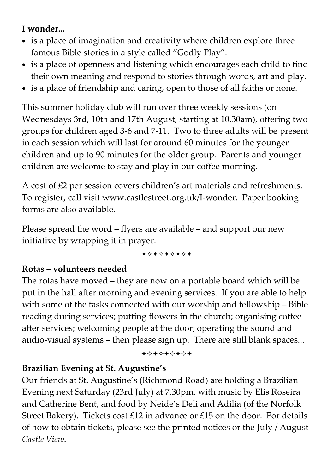# **I wonder...**

- is a place of imagination and creativity where children explore three famous Bible stories in a style called "Godly Play".
- is a place of openness and listening which encourages each child to find their own meaning and respond to stories through words, art and play.
- is a place of friendship and caring, open to those of all faiths or none.

This summer holiday club will run over three weekly sessions (on Wednesdays 3rd, 10th and 17th August, starting at 10.30am), offering two groups for children aged 3-6 and 7-11. Two to three adults will be present in each session which will last for around 60 minutes for the younger children and up to 90 minutes for the older group. Parents and younger children are welcome to stay and play in our coffee morning.

A cost of £2 per session covers children's art materials and refreshments. To register, call visit www.castlestreet.org.uk/I-wonder. Paper booking forms are also available.

Please spread the word – flyers are available – and support our new initiative by wrapping it in prayer.

+\*+\*\*\*\*+

#### **Rotas – volunteers needed**

The rotas have moved – they are now on a portable board which will be put in the hall after morning and evening services. If you are able to help with some of the tasks connected with our worship and fellowship – Bible reading during services; putting flowers in the church; organising coffee after services; welcoming people at the door; operating the sound and audio-visual systems – then please sign up. There are still blank spaces...

+\*\*\*\*\*\*\*

#### **Brazilian Evening at St. Augustine's**

Our friends at St. Augustine's (Richmond Road) are holding a Brazilian Evening next Saturday (23rd July) at 7.30pm, with music by Elis Roseira and Catherine Bent, and food by Neide's Deli and Adilia (of the Norfolk Street Bakery). Tickets cost £12 in advance or £15 on the door. For details of how to obtain tickets, please see the printed notices or the July / August *Castle View*.